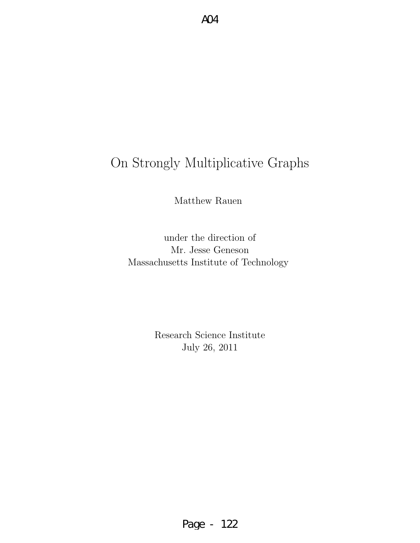# On Strongly Multiplicative Graphs

Matthew Rauen

under the direction of Mr. Jesse Geneson Massachusetts Institute of Technology

> Research Science Institute July 26, 2011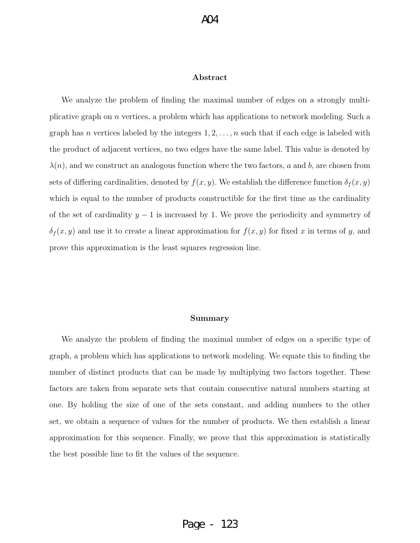#### Abstract

We analyze the problem of finding the maximal number of edges on a strongly multiplicative graph on n vertices, a problem which has applications to network modeling. Such a graph has *n* vertices labeled by the integers  $1, 2, \ldots, n$  such that if each edge is labeled with the product of adjacent vertices, no two edges have the same label. This value is denoted by  $\lambda(n)$ , and we construct an analogous function where the two factors, a and b, are chosen from sets of differing cardinalities, denoted by  $f(x, y)$ . We establish the difference function  $\delta_f(x, y)$ which is equal to the number of products constructible for the first time as the cardinality of the set of cardinality  $y - 1$  is increased by 1. We prove the periodicity and symmetry of  $\delta_f(x, y)$  and use it to create a linear approximation for  $f(x, y)$  for fixed x in terms of y, and prove this approximation is the least squares regression line.

#### Summary

We analyze the problem of finding the maximal number of edges on a specific type of graph, a problem which has applications to network modeling. We equate this to finding the number of distinct products that can be made by multiplying two factors together. These factors are taken from separate sets that contain consecutive natural numbers starting at one. By holding the size of one of the sets constant, and adding numbers to the other set, we obtain a sequence of values for the number of products. We then establish a linear approximation for this sequence. Finally, we prove that this approximation is statistically the best possible line to fit the values of the sequence.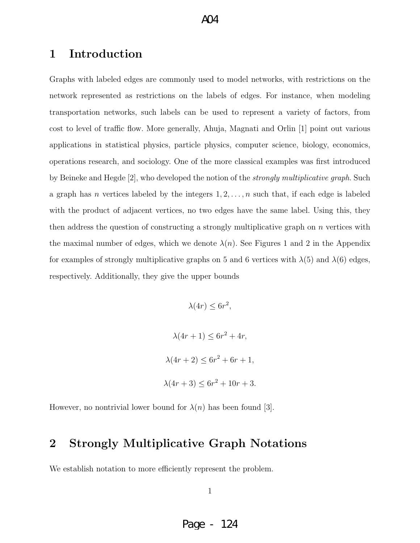## 1 Introduction

Graphs with labeled edges are commonly used to model networks, with restrictions on the network represented as restrictions on the labels of edges. For instance, when modeling transportation networks, such labels can be used to represent a variety of factors, from cost to level of traffic flow. More generally, Ahuja, Magnati and Orlin [1] point out various applications in statistical physics, particle physics, computer science, biology, economics, operations research, and sociology. One of the more classical examples was first introduced by Beineke and Hegde [2], who developed the notion of the strongly multiplicative graph. Such a graph has *n* vertices labeled by the integers  $1, 2, \ldots, n$  such that, if each edge is labeled with the product of adjacent vertices, no two edges have the same label. Using this, they then address the question of constructing a strongly multiplicative graph on  $n$  vertices with the maximal number of edges, which we denote  $\lambda(n)$ . See Figures 1 and 2 in the Appendix for examples of strongly multiplicative graphs on 5 and 6 vertices with  $\lambda(5)$  and  $\lambda(6)$  edges, respectively. Additionally, they give the upper bounds

> $\lambda(4r) \leq 6r^2$ ,  $\lambda(4r + 1) \le 6r^2 + 4r,$  $\lambda(4r+2) \leq 6r^2 + 6r + 1$ ,  $\lambda(4r+3) \leq 6r^2 + 10r + 3.$

However, no nontrivial lower bound for  $\lambda(n)$  has been found [3].

## 2 Strongly Multiplicative Graph Notations

We establish notation to more efficiently represent the problem.

1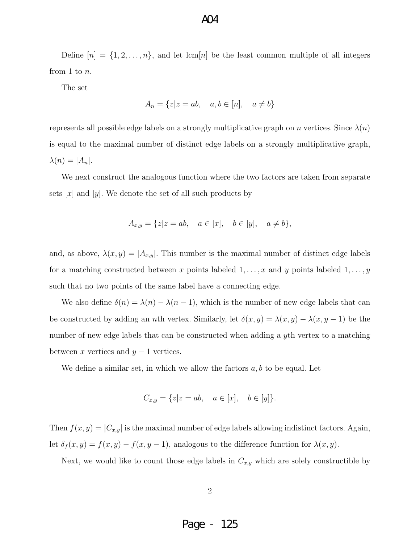#### $AA$

Define  $[n] = \{1, 2, \ldots, n\}$ , and let  $\text{lcm}[n]$  be the least common multiple of all integers from 1 to n.

The set

$$
A_n = \{z \mid z = ab, \quad a, b \in [n], \quad a \neq b\}
$$

represents all possible edge labels on a strongly multiplicative graph on n vertices. Since  $\lambda(n)$ is equal to the maximal number of distinct edge labels on a strongly multiplicative graph,  $\lambda(n) = |A_n|.$ 

We next construct the analogous function where the two factors are taken from separate sets  $|x|$  and  $|y|$ . We denote the set of all such products by

$$
A_{x,y} = \{z \mid z = ab, \quad a \in [x], \quad b \in [y], \quad a \neq b\},\
$$

and, as above,  $\lambda(x, y) = |A_{x,y}|$ . This number is the maximal number of distinct edge labels for a matching constructed between x points labeled  $1, \ldots, x$  and y points labeled  $1, \ldots, y$ such that no two points of the same label have a connecting edge.

We also define  $\delta(n) = \lambda(n) - \lambda(n-1)$ , which is the number of new edge labels that can be constructed by adding an *n*th vertex. Similarly, let  $\delta(x, y) = \lambda(x, y) - \lambda(x, y - 1)$  be the number of new edge labels that can be constructed when adding a yth vertex to a matching between x vertices and  $y - 1$  vertices.

We define a similar set, in which we allow the factors  $a, b$  to be equal. Let

$$
C_{x,y} = \{z|z = ab, \quad a \in [x], \quad b \in [y]\}.
$$

Then  $f(x, y) = |C_{x,y}|$  is the maximal number of edge labels allowing indistinct factors. Again, let  $\delta_f(x, y) = f(x, y) - f(x, y - 1)$ , analogous to the difference function for  $\lambda(x, y)$ .

Next, we would like to count those edge labels in  $C_{x,y}$  which are solely constructible by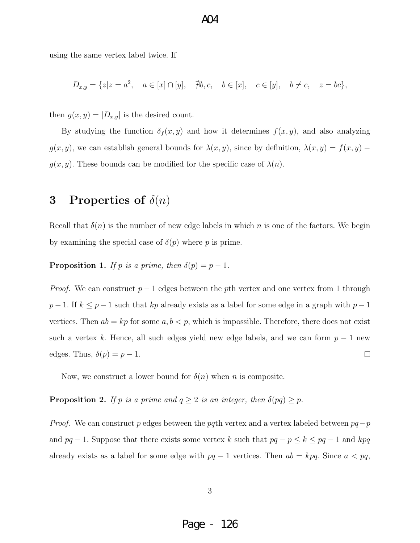$AA$ 

using the same vertex label twice. If

$$
D_{x,y} = \{z|z=a^2, \quad a \in [x] \cap [y], \quad \nexists b, c, \quad b \in [x], \quad c \in [y], \quad b \neq c, \quad z = bc\},\
$$

then  $g(x, y) = |D_{x,y}|$  is the desired count.

By studying the function  $\delta_f(x, y)$  and how it determines  $f(x, y)$ , and also analyzing  $g(x, y)$ , we can establish general bounds for  $\lambda(x, y)$ , since by definition,  $\lambda(x, y) = f(x, y)$  $g(x, y)$ . These bounds can be modified for the specific case of  $\lambda(n)$ .

### 3 Properties of  $\delta(n)$

Recall that  $\delta(n)$  is the number of new edge labels in which n is one of the factors. We begin by examining the special case of  $\delta(p)$  where p is prime.

**Proposition 1.** If p is a prime, then  $\delta(p) = p - 1$ .

*Proof.* We can construct  $p-1$  edges between the pth vertex and one vertex from 1 through  $p-1$ . If  $k \leq p-1$  such that kp already exists as a label for some edge in a graph with  $p-1$ vertices. Then  $ab = kp$  for some  $a, b < p$ , which is impossible. Therefore, there does not exist such a vertex k. Hence, all such edges yield new edge labels, and we can form  $p-1$  new edges. Thus,  $\delta(p) = p - 1$ .  $\Box$ 

Now, we construct a lower bound for  $\delta(n)$  when n is composite.

**Proposition 2.** If p is a prime and  $q \ge 2$  is an integer, then  $\delta(pq) \ge p$ .

*Proof.* We can construct p edges between the pqth vertex and a vertex labeled between  $pq-p$ and  $pq-1$ . Suppose that there exists some vertex k such that  $pq-p \leq k \leq pq-1$  and kpq already exists as a label for some edge with  $pq-1$  vertices. Then  $ab = kpq$ . Since  $a < pq$ ,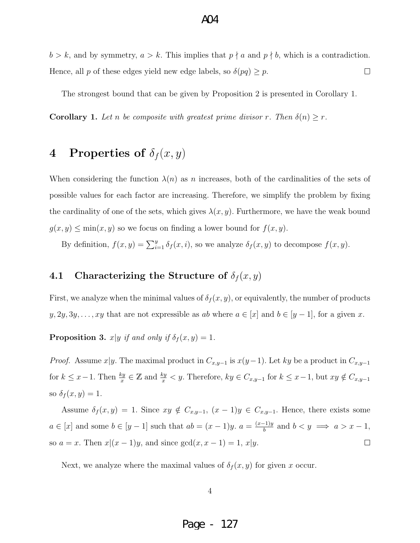## $b > k$ , and by symmetry,  $a > k$ . This implies that  $p \nmid a$  and  $p \nmid b$ , which is a contradiction. Hence, all p of these edges yield new edge labels, so  $\delta(pq) \geq p$ .  $\Box$

 $AA$ 

The strongest bound that can be given by Proposition 2 is presented in Corollary 1.

**Corollary 1.** Let n be composite with greatest prime divisor r. Then  $\delta(n) \geq r$ .

## 4 Properties of  $\delta_f(x,y)$

When considering the function  $\lambda(n)$  as n increases, both of the cardinalities of the sets of possible values for each factor are increasing. Therefore, we simplify the problem by fixing the cardinality of one of the sets, which gives  $\lambda(x, y)$ . Furthermore, we have the weak bound  $g(x, y) \leq \min(x, y)$  so we focus on finding a lower bound for  $f(x, y)$ .

By definition,  $f(x, y) = \sum_{i=1}^{y} \delta_f(x, i)$ , so we analyze  $\delta_f(x, y)$  to decompose  $f(x, y)$ .

#### 4.1 Characterizing the Structure of  $\delta_f(x,y)$

First, we analyze when the minimal values of  $\delta_f(x, y)$ , or equivalently, the number of products  $y, 2y, 3y, \ldots, xy$  that are not expressible as ab where  $a \in [x]$  and  $b \in [y-1]$ , for a given x.

**Proposition 3.**  $x|y$  if and only if  $\delta_f(x, y) = 1$ .

*Proof.* Assume x|y. The maximal product in  $C_{x,y-1}$  is  $x(y-1)$ . Let ky be a product in  $C_{x,y-1}$ for  $k \leq x-1$ . Then  $\frac{ky}{x} \in \mathbb{Z}$  and  $\frac{ky}{x} < y$ . Therefore,  $ky \in C_{x,y-1}$  for  $k \leq x-1$ , but  $xy \notin C_{x,y-1}$ so  $\delta_f(x, y) = 1$ .

Assume  $\delta_f(x, y) = 1$ . Since  $xy \notin C_{x,y-1}$ ,  $(x - 1)y \in C_{x,y-1}$ . Hence, there exists some  $a \in [x]$  and some  $b \in [y-1]$  such that  $ab = (x-1)y$ .  $a = \frac{(x-1)y}{b}$  $\frac{b-1}{b}$  and  $b < y \implies a > x - 1$ , so  $a = x$ . Then  $x|(x - 1)y$ , and since  $gcd(x, x - 1) = 1$ ,  $x|y$ .  $\Box$ 

Next, we analyze where the maximal values of  $\delta_f(x, y)$  for given x occur.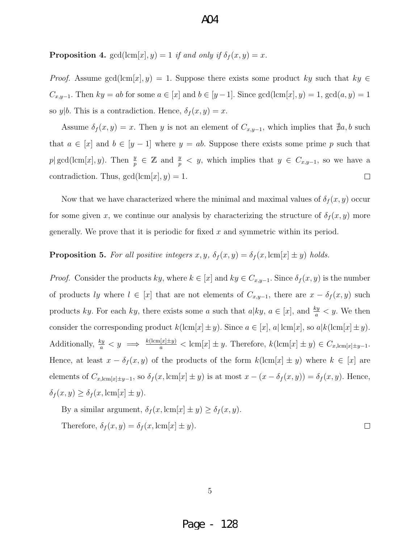**Proposition 4.**  $gcd(lcm[x], y) = 1$  if and only if  $\delta_f(x, y) = x$ .

*Proof.* Assume gcd(lcm[x], y) = 1. Suppose there exists some product ky such that  $ky \in$  $C_{x,y-1}$ . Then  $ky = ab$  for some  $a \in [x]$  and  $b \in [y-1]$ . Since  $gcd(lcm[x], y) = 1$ ,  $gcd(a, y) = 1$ so  $y|b$ . This is a contradiction. Hence,  $\delta_f(x, y) = x$ .

Assume  $\delta_f(x, y) = x$ . Then y is not an element of  $C_{x,y-1}$ , which implies that  $\nexists a, b$  such that  $a \in [x]$  and  $b \in [y-1]$  where  $y = ab$ . Suppose there exists some prime p such that p| gcd(lcm[x], y). Then  $\frac{y}{p} \in \mathbb{Z}$  and  $\frac{y}{p} < y$ , which implies that  $y \in C_{x,y-1}$ , so we have a contradiction. Thus,  $gcd(lcm[x], y) = 1$ .  $\Box$ 

Now that we have characterized where the minimal and maximal values of  $\delta_f(x, y)$  occur for some given x, we continue our analysis by characterizing the structure of  $\delta_f(x, y)$  more generally. We prove that it is periodic for fixed  $x$  and symmetric within its period.

#### **Proposition 5.** For all positive integers  $x, y, \delta_f(x, y) = \delta_f(x, \text{lcm}[x] \pm y)$  holds.

*Proof.* Consider the products ky, where  $k \in [x]$  and  $ky \in C_{x,y-1}$ . Since  $\delta_f(x, y)$  is the number of products ly where  $l \in [x]$  that are not elements of  $C_{x,y-1}$ , there are  $x - \delta_f(x, y)$  such products ky. For each ky, there exists some a such that  $a|ky, a \in [x]$ , and  $\frac{ky}{a} < y$ . We then consider the corresponding product  $k(\text{lcm}[x]\pm y)$ . Since  $a \in [x]$ ,  $a|\text{lcm}[x]$ , so  $a|k(\text{lcm}[x]\pm y)$ . Additionally,  $\frac{ky}{a} < y \implies \frac{k(\text{lcm}[x]\pm y)}{a} < \text{lcm}[x] \pm y$ . Therefore,  $k(\text{lcm}[x]\pm y) \in C_{x,\text{lcm}[x]\pm y-1}$ . Hence, at least  $x - \delta_f(x, y)$  of the products of the form  $k(\text{lcm}[x] \pm y)$  where  $k \in [x]$  are elements of  $C_{x,\text{lcm}[x]\pm y-1}$ , so  $\delta_f(x,\text{lcm}[x]\pm y)$  is at most  $x-(x-\delta_f(x,y))=\delta_f(x,y)$ . Hence,  $\delta_f(x, y) \geq \delta_f(x, \text{lcm}[x] \pm y).$ 

By a similar argument,  $\delta_f(x, \text{lcm}[x] \pm y) \geq \delta_f(x, y)$ . Therefore,  $\delta_f(x, y) = \delta_f(x, \text{lcm}[x] \pm y)$ .

5

 $\Box$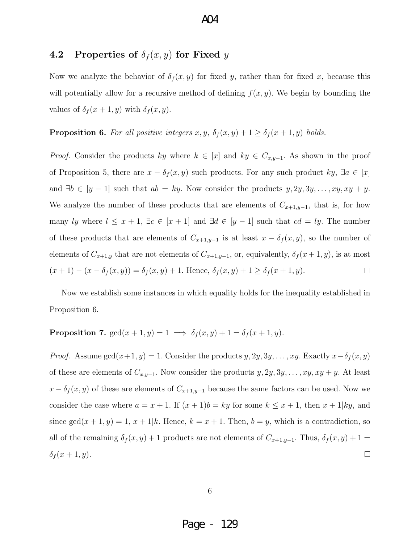#### 4.2 Properties of  $\delta_f(x, y)$  for Fixed y

Now we analyze the behavior of  $\delta_f(x, y)$  for fixed y, rather than for fixed x, because this will potentially allow for a recursive method of defining  $f(x, y)$ . We begin by bounding the values of  $\delta_f(x+1, y)$  with  $\delta_f(x, y)$ .

#### **Proposition 6.** For all positive integers  $x, y, \delta_f(x, y) + 1 \geq \delta_f(x + 1, y)$  holds.

*Proof.* Consider the products ky where  $k \in [x]$  and  $ky \in C_{x,y-1}$ . As shown in the proof of Proposition 5, there are  $x - \delta_f(x, y)$  such products. For any such product  $ky$ ,  $\exists a \in [x]$ and  $\exists b \in [y-1]$  such that  $ab = ky$ . Now consider the products  $y, 2y, 3y, \ldots, xy, xy + y$ . We analyze the number of these products that are elements of  $C_{x+1,y-1}$ , that is, for how many ly where  $l \leq x + 1$ ,  $\exists c \in [x + 1]$  and  $\exists d \in [y - 1]$  such that  $cd = ly$ . The number of these products that are elements of  $C_{x+1,y-1}$  is at least  $x - \delta_f(x, y)$ , so the number of elements of  $C_{x+1,y}$  that are not elements of  $C_{x+1,y-1}$ , or, equivalently,  $\delta_f(x+1,y)$ , is at most  $(x + 1) - (x - \delta_f(x, y)) = \delta_f(x, y) + 1$ . Hence,  $\delta_f(x, y) + 1 \ge \delta_f(x + 1, y)$ .  $\Box$ 

Now we establish some instances in which equality holds for the inequality established in Proposition 6.

#### **Proposition 7.**  $gcd(x + 1, y) = 1 \implies \delta_f(x, y) + 1 = \delta_f(x + 1, y).$

*Proof.* Assume  $gcd(x+1, y) = 1$ . Consider the products  $y, 2y, 3y, \ldots, xy$ . Exactly  $x - \delta_f(x, y)$ of these are elements of  $C_{x,y-1}$ . Now consider the products  $y, 2y, 3y, \ldots, xy, xy + y$ . At least  $x - \delta_f(x, y)$  of these are elements of  $C_{x+1,y-1}$  because the same factors can be used. Now we consider the case where  $a = x + 1$ . If  $(x + 1)b = ky$  for some  $k \le x + 1$ , then  $x + 1|ky$ , and since  $gcd(x + 1, y) = 1, x + 1|k$ . Hence,  $k = x + 1$ . Then,  $b = y$ , which is a contradiction, so all of the remaining  $\delta_f(x, y) + 1$  products are not elements of  $C_{x+1,y-1}$ . Thus,  $\delta_f(x, y) + 1 =$  $\delta_f(x+1,y).$  $\Box$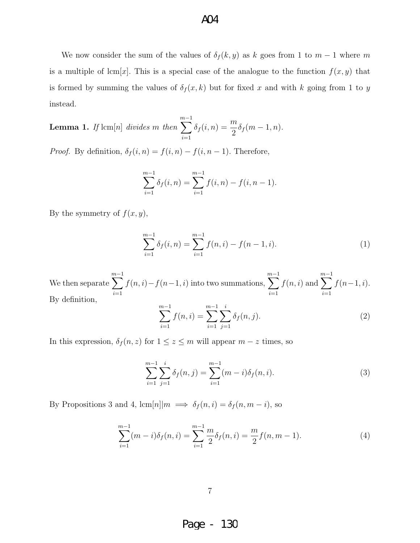We now consider the sum of the values of  $\delta_f(k, y)$  as k goes from 1 to  $m - 1$  where m is a multiple of lcm[x]. This is a special case of the analogue to the function  $f(x, y)$  that is formed by summing the values of  $\delta_f(x, k)$  but for fixed x and with k going from 1 to y instead.

**Lemma 1.** If  $\text{lcm}[n]$  divides m then  $\sum^{m-1}$  $i=1$  $\delta_f(i, n) = \frac{m}{2} \delta_f(m - 1, n).$ 

*Proof.* By definition,  $\delta_f(i, n) = f(i, n) - f(i, n - 1)$ . Therefore,

$$
\sum_{i=1}^{m-1} \delta_f(i, n) = \sum_{i=1}^{m-1} f(i, n) - f(i, n-1).
$$

By the symmetry of  $f(x, y)$ ,

$$
\sum_{i=1}^{m-1} \delta_f(i, n) = \sum_{i=1}^{m-1} f(n, i) - f(n-1, i).
$$
 (1)

We then separate  $\sum^{m-1}$  $i=1$  $f(n, i) - f(n-1, i)$  into two summations,  $\sum^{m-1}$  $\frac{i=1}{i}$  $f(n, i)$  and  $\sum^{m-1}$  $i=1$  $f(n-1, i)$ . By definition,

$$
\sum_{i=1}^{m-1} f(n,i) = \sum_{i=1}^{m-1} \sum_{j=1}^{i} \delta_f(n,j).
$$
 (2)

In this expression,  $\delta_f(n, z)$  for  $1 \leq z \leq m$  will appear  $m - z$  times, so

$$
\sum_{i=1}^{m-1} \sum_{j=1}^{i} \delta_f(n,j) = \sum_{i=1}^{m-1} (m-i) \delta_f(n,i).
$$
 (3)

By Propositions 3 and 4, lcm[n]| $m \implies \delta_f(n, i) = \delta_f(n, m - i)$ , so

$$
\sum_{i=1}^{m-1} (m-i)\delta_f(n,i) = \sum_{i=1}^{m-1} \frac{m}{2} \delta_f(n,i) = \frac{m}{2} f(n,m-1).
$$
 (4)

7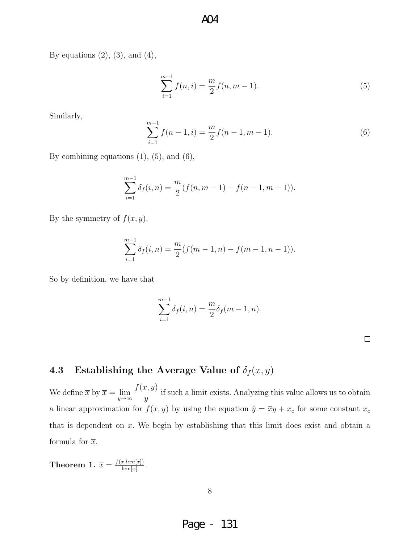By equations  $(2)$ ,  $(3)$ , and  $(4)$ ,

$$
\sum_{i=1}^{m-1} f(n,i) = \frac{m}{2} f(n,m-1).
$$
 (5)

Similarly,

$$
\sum_{i=1}^{m-1} f(n-1, i) = \frac{m}{2} f(n-1, m-1).
$$
 (6)

By combining equations  $(1)$ ,  $(5)$ , and  $(6)$ ,

$$
\sum_{i=1}^{m-1} \delta_f(i, n) = \frac{m}{2} (f(n, m-1) - f(n-1, m-1)).
$$

By the symmetry of  $f(x, y)$ ,

$$
\sum_{i=1}^{m-1} \delta_f(i, n) = \frac{m}{2} (f(m-1, n) - f(m-1, n-1)).
$$

So by definition, we have that

$$
\sum_{i=1}^{m-1} \delta_f(i, n) = \frac{m}{2} \delta_f(m - 1, n).
$$

## 4.3 Establishing the Average Value of  $\delta_f(x, y)$

We define  $\overline{x}$  by  $\overline{x} = \lim_{y \to \infty}$  $f(x, y)$  $\hat{y}$ if such a limit exists. Analyzing this value allows us to obtain a linear approximation for  $f(x, y)$  by using the equation  $\hat{y} = \overline{x}y + x_c$  for some constant  $x_c$ that is dependent on  $x$ . We begin by establishing that this limit does exist and obtain a formula for  $\bar{x}$ .

**Theorem 1.**  $\overline{x} = \frac{f(x, lcm[x])}{lcm[x]}$  $rac{x, lcm[x]}{ \text{lcm}[x]}$ .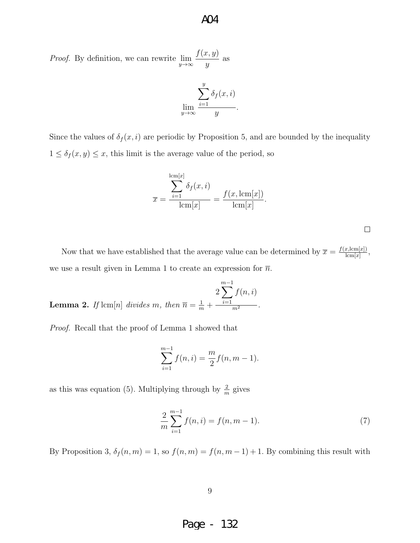*Proof.* By definition, we can rewrite  $\lim_{y \to \infty}$  $f(x, y)$  $\hat{y}$ as

$$
\lim_{y \to \infty} \frac{\sum_{i=1}^{y} \delta_f(x, i)}{y}.
$$

Since the values of  $\delta_f(x, i)$  are periodic by Proposition 5, and are bounded by the inequality  $1 \leq \delta_f(x, y) \leq x$ , this limit is the average value of the period, so

$$
\overline{x} = \frac{\sum_{i=1}^{\text{lcm}[x]} \delta_f(x, i)}{\text{lcm}[x]} = \frac{f(x, \text{lcm}[x])}{\text{lcm}[x]}.
$$

Now that we have established that the average value can be determined by  $\bar{x} = \frac{f(x,\text{lcm}[x])}{\text{lcm}[x]}$  $\frac{x,\text{lcm}[x]}{\text{lcm}[x]},$ we use a result given in Lemma 1 to create an expression for  $\overline{n}$ .

**Lemma 2.** If 
$$
\text{lcm}[n]
$$
 divides m, then  $\overline{n} = \frac{1}{m} + \frac{\sum_{i=1}^{m-1} f(n, i)}{m^2}$ .

Proof. Recall that the proof of Lemma 1 showed that

$$
\sum_{i=1}^{m-1} f(n,i) = \frac{m}{2} f(n,m-1).
$$

as this was equation (5). Multiplying through by  $\frac{2}{m}$  gives

$$
\frac{2}{m}\sum_{i=1}^{m-1}f(n,i) = f(n,m-1).
$$
\n(7)

By Proposition 3,  $\delta_f(n,m) = 1$ , so  $f(n,m) = f(n, m - 1) + 1$ . By combining this result with

9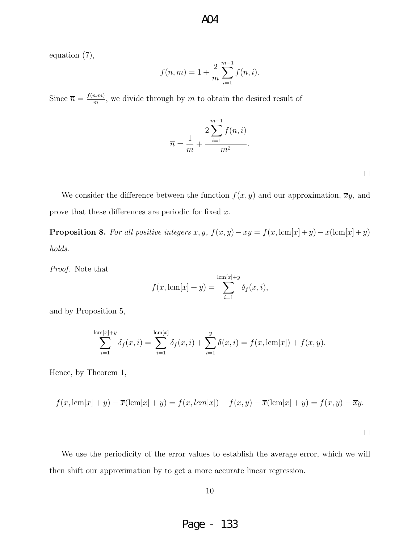equation (7),

$$
f(n, m) = 1 + \frac{2}{m} \sum_{i=1}^{m-1} f(n, i).
$$

Since  $\overline{n} = \frac{f(n,m)}{m}$  $\frac{m,m}{m}$ , we divide through by m to obtain the desired result of

$$
\overline{n} = \frac{1}{m} + \frac{2\sum_{i=1}^{m-1} f(n, i)}{m^2}.
$$

 $\Box$ 

We consider the difference between the function  $f(x, y)$  and our approximation,  $\overline{x}y$ , and prove that these differences are periodic for fixed x.

**Proposition 8.** For all positive integers  $x, y$ ,  $f(x, y) - \overline{x}y = f(x, \text{lcm}[x] + y) - \overline{x}(\text{lcm}[x] + y)$ holds.

Proof. Note that

$$
f(x, \text{lcm}[x] + y) = \sum_{i=1}^{\text{lcm}[x]+y} \delta_f(x, i),
$$

and by Proposition 5,

$$
\sum_{i=1}^{\text{lcm}[x]+y} \delta_f(x,i) = \sum_{i=1}^{\text{lcm}[x]} \delta_f(x,i) + \sum_{i=1}^y \delta(x,i) = f(x,\text{lcm}[x]) + f(x,y).
$$

Hence, by Theorem 1,

$$
f(x, \text{lcm}[x] + y) - \overline{x}(\text{lcm}[x] + y) = f(x, \text{lcm}[x]) + f(x, y) - \overline{x}(\text{lcm}[x] + y) = f(x, y) - \overline{x}y.
$$

 $\Box$ 

We use the periodicity of the error values to establish the average error, which we will then shift our approximation by to get a more accurate linear regression.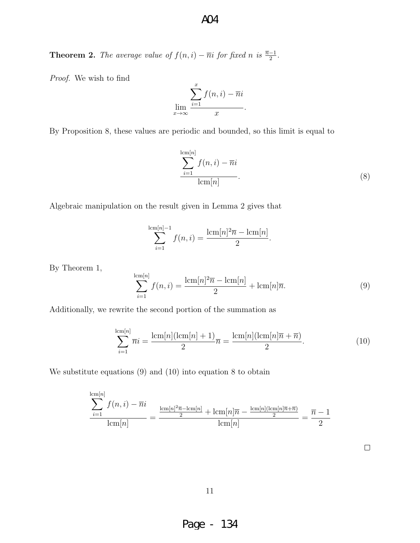**Theorem 2.** The average value of  $f(n,i) - \overline{n}i$  for fixed n is  $\frac{\overline{n}-1}{2}$ .

Proof. We wish to find

$$
\lim_{x \to \infty} \frac{\sum_{i=1}^{x} f(n, i) - \overline{n}i}{x}.
$$

By Proposition 8, these values are periodic and bounded, so this limit is equal to

$$
\sum_{i=1}^{\text{lcm}[n]} f(n,i) - \overline{n}i
$$
  
lcm[n] (8)

Algebraic manipulation on the result given in Lemma 2 gives that

$$
\sum_{i=1}^{\lfloor \text{cm}[n] - 1 \rfloor} f(n, i) = \frac{\lfloor \text{cm}[n]^2 \overline{n} - \text{cm}[n]}{2}.
$$

By Theorem 1,

$$
\sum_{i=1}^{\text{lcm}[n]} f(n,i) = \frac{\text{lcm}[n]^2 \overline{n} - \text{lcm}[n]}{2} + \text{lcm}[n] \overline{n}.
$$
 (9)

Additionally, we rewrite the second portion of the summation as

$$
\sum_{i=1}^{\text{lcm}[n]} \overline{n}i = \frac{\text{lcm}[n](\text{lcm}[n]+1)}{2}\overline{n} = \frac{\text{lcm}[n](\text{lcm}[n]\overline{n}+\overline{n})}{2}.
$$
 (10)

We substitute equations (9) and (10) into equation 8 to obtain

$$
\frac{\sum_{i=1}^{\text{lcm}[n]} f(n,i) - \overline{n}i}{\text{lcm}[n]} = \frac{\frac{\text{lcm}[n]^2 \overline{n} - \text{lcm}[n]}{2} + \text{lcm}[n] \overline{n} - \frac{\text{lcm}[n](\text{lcm}[n] \overline{n} + \overline{n})}{2}}{\text{lcm}[n]} = \frac{\overline{n} - 1}{2}
$$

 $\Box$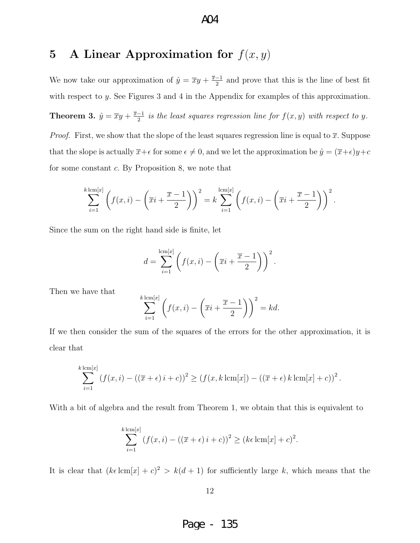# 5 A Linear Approximation for  $f(x, y)$

We now take our approximation of  $\hat{y} = \overline{x}y + \frac{\overline{x}-1}{2}$  $\frac{-1}{2}$  and prove that this is the line of best fit with respect to y. See Figures 3 and 4 in the Appendix for examples of this approximation. Theorem 3.  $\hat{y} = \overline{x}y + \frac{\overline{x}-1}{2}$  $\frac{-1}{2}$  is the least squares regression line for  $f(x, y)$  with respect to y. *Proof.* First, we show that the slope of the least squares regression line is equal to  $\overline{x}$ . Suppose that the slope is actually  $\overline{x}+\epsilon$  for some  $\epsilon\neq 0$ , and we let the approximation be  $\hat{y}=(\overline{x}+\epsilon)y+c$ for some constant c. By Proposition 8, we note that

$$
\sum_{i=1}^{k \operatorname{lcm}[x]} \left( f(x,i) - \left(\overline{x}i + \frac{\overline{x} - 1}{2}\right)\right)^2 = k \sum_{i=1}^{\operatorname{lcm}[x]} \left( f(x,i) - \left(\overline{x}i + \frac{\overline{x} - 1}{2}\right)\right)^2.
$$

Since the sum on the right hand side is finite, let

$$
d = \sum_{i=1}^{\lfloor cn \rfloor x} \left( f(x, i) - \left( \overline{x}i + \frac{\overline{x} - 1}{2} \right) \right)^2.
$$

Then we have that

$$
\sum_{i=1}^{k \operatorname{lcm}[x]} \left( f(x,i) - \left( \overline{x}i + \frac{\overline{x} - 1}{2} \right) \right)^2 = kd.
$$

If we then consider the sum of the squares of the errors for the other approximation, it is clear that

$$
\sum_{i=1}^{k \operatorname{lcm}[x]} (f(x, i) - ((\overline{x} + \epsilon)i + c))^2 \ge (f(x, k \operatorname{lcm}[x]) - ((\overline{x} + \epsilon)k \operatorname{lcm}[x] + c))^2.
$$

With a bit of algebra and the result from Theorem 1, we obtain that this is equivalent to

$$
\sum_{i=1}^{k \operatorname{lcm}[x]} \left( f(x,i) - \left( (\overline{x} + \epsilon) i + c \right) \right)^2 \geq \left( k\epsilon \operatorname{lcm}[x] + c \right)^2.
$$

It is clear that  $(k\epsilon \operatorname{lcm}[x] + c)^2 > k(d+1)$  for sufficiently large k, which means that the

12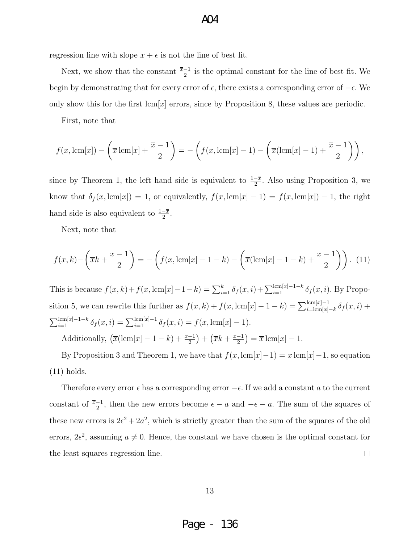regression line with slope  $\bar{x} + \epsilon$  is not the line of best fit.

Next, we show that the constant  $\frac{\overline{x}-1}{2}$  is the optimal constant for the line of best fit. We begin by demonstrating that for every error of  $\epsilon$ , there exists a corresponding error of  $-\epsilon$ . We only show this for the first  $\text{lcm}[x]$  errors, since by Proposition 8, these values are periodic.

A04

First, note that

$$
f(x, \text{lcm}[x]) - \left(\overline{x}\,\text{lcm}[x] + \frac{\overline{x} - 1}{2}\right) = -\left(f(x, \text{lcm}[x] - 1) - \left(\overline{x}(\text{lcm}[x] - 1) + \frac{\overline{x} - 1}{2}\right)\right),
$$

since by Theorem 1, the left hand side is equivalent to  $\frac{1-\overline{x}}{2}$ . Also using Proposition 3, we know that  $\delta_f(x, \text{lcm}[x]) = 1$ , or equivalently,  $f(x, \text{lcm}[x] - 1) = f(x, \text{lcm}[x]) - 1$ , the right hand side is also equivalent to  $\frac{1-\overline{x}}{2}$ .

Next, note that

$$
f(x,k) - \left(\overline{x}k + \frac{\overline{x} - 1}{2}\right) = -\left(f(x,\text{lcm}[x] - 1 - k) - \left(\overline{x}(\text{lcm}[x] - 1 - k) + \frac{\overline{x} - 1}{2}\right)\right). (11)
$$

This is because  $f(x, k) + f(x, \text{lcm}[x] - 1 - k) = \sum_{i=1}^{k} \delta_f(x, i) + \sum_{i=1}^{\text{lcm}[x]-1-k} \delta_f(x, i)$ . By Proposition 5, we can rewrite this further as  $f(x, k) + f(x, \text{lcm}[x] - 1 - k) = \sum_{i=\text{lcm}[x]-k}^{\text{lcm}[x]-1} \delta_f(x, i) +$  $\sum_{i=1}^{\text{lcm}[x]-1-k} \delta_f(x,i) = \sum_{i=1}^{\text{lcm}[x]-1} \delta_f(x,i) = f(x,\text{lcm}[x]-1).$ Additionally,  $\left(\overline{x}(\text{lcm}[x] - 1 - k) + \frac{\overline{x} - 1}{2}\right) + \left(\overline{x}k + \frac{\overline{x} - 1}{2}\right)$  $\frac{-1}{2}$ ) =  $\overline{x}$  lcm[x] - 1.

By Proposition 3 and Theorem 1, we have that  $f(x, \text{lcm}[x]-1) = \overline{x} \text{ lcm}[x]-1$ , so equation (11) holds.

Therefore every error  $\epsilon$  has a corresponding error  $-\epsilon$ . If we add a constant a to the current constant of  $\frac{\overline{x}-1}{2}$ , then the new errors become  $\epsilon - a$  and  $-\epsilon - a$ . The sum of the squares of these new errors is  $2\epsilon^2 + 2a^2$ , which is strictly greater than the sum of the squares of the old errors,  $2\epsilon^2$ , assuming  $a \neq 0$ . Hence, the constant we have chosen is the optimal constant for the least squares regression line.  $\Box$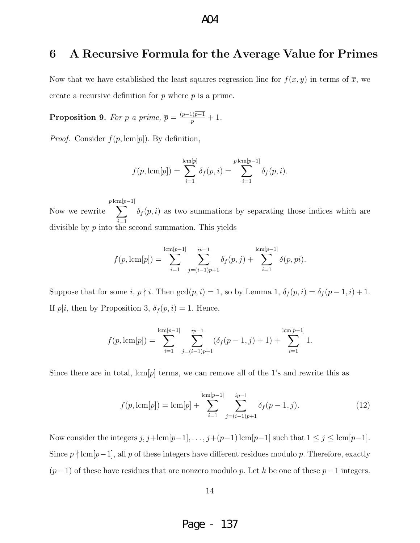## 6 A Recursive Formula for the Average Value for Primes

Now that we have established the least squares regression line for  $f(x, y)$  in terms of  $\overline{x}$ , we create a recursive definition for  $\bar{p}$  where p is a prime.

**Proposition 9.** For p a prime,  $\overline{p} = \frac{(p-1)\overline{p-1}}{p} + 1$ .

*Proof.* Consider  $f(p, \text{lcm}[p])$ . By definition,

$$
f(p, \text{lcm}[p]) = \sum_{i=1}^{\text{lcm}[p]} \delta_f(p, i) = \sum_{i=1}^{p \text{lcm}[p-1]} \delta_f(p, i).
$$

Now we rewrite  $p \, {\rm lcm}[$  $\sum$ p−1]  $i=1$  $\delta_f(p, i)$  as two summations by separating those indices which are divisible by  $p$  into the second summation. This yields

$$
f(p, \text{lcm}[p]) = \sum_{i=1}^{\text{lcm}[p-1]} \sum_{j=(i-1)p+1}^{ip-1} \delta_f(p, j) + \sum_{i=1}^{\text{lcm}[p-1]} \delta(p, pi).
$$

Suppose that for some  $i, p \nmid i$ . Then  $gcd(p, i) = 1$ , so by Lemma 1,  $\delta_f(p, i) = \delta_f(p - 1, i) + 1$ . If  $p|i$ , then by Proposition 3,  $\delta_f(p,i) = 1$ . Hence,

$$
f(p, \text{lcm}[p]) = \sum_{i=1}^{\text{lcm}[p-1]} \sum_{j=(i-1)p+1}^{ip-1} (\delta_f(p-1, j) + 1) + \sum_{i=1}^{\text{lcm}[p-1]} 1.
$$

Since there are in total,  $lcm[p]$  terms, we can remove all of the 1's and rewrite this as

$$
f(p, \text{lcm}[p]) = \text{lcm}[p] + \sum_{i=1}^{\text{lcm}[p-1]} \sum_{j=(i-1)p+1}^{ip-1} \delta_f(p-1, j). \tag{12}
$$

Now consider the integers  $j, j+\text{lcm}[p-1], \ldots, j+(p-1)\text{ lcm}[p-1]$  such that  $1 \leq j \leq \text{lcm}[p-1]$ . Since  $p \nmid \text{lcm}[p-1]$ , all p of these integers have different residues modulo p. Therefore, exactly  $(p-1)$  of these have residues that are nonzero modulo p. Let k be one of these p−1 integers.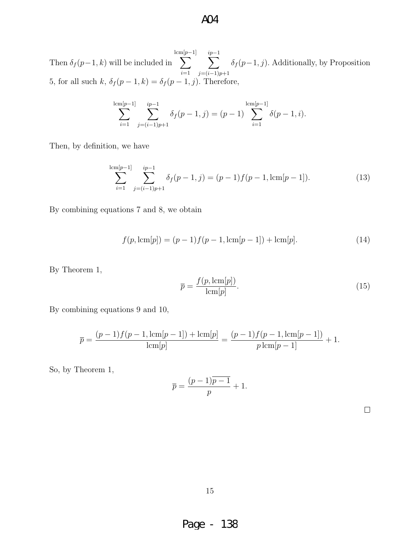Then  $\delta_f(p-1,k)$  will be included in lcm[  $\sum$  $p-1$ ]  $i=1$  $\sum^{ip-1}$  $j=(i-1)p+1$  $\delta_f(p-1,j)$ . Additionally, by Proposition 5, for all such  $k$ ,  $\delta_f(p-1,k) = \delta_f(p-1,j)$ . Therefore,

$$
\sum_{i=1}^{\mathrm{lcm}[p-1]} \sum_{j=(i-1)p+1}^{ip-1} \delta_f(p-1,j) = (p-1) \sum_{i=1}^{\mathrm{lcm}[p-1]} \delta(p-1,i).
$$

Then, by definition, we have

$$
\sum_{i=1}^{\lfloor cm[p-1] \rfloor} \sum_{j=(i-1)p+1}^{ip-1} \delta_f(p-1,j) = (p-1)f(p-1,\text{lcm}[p-1]).
$$
\n(13)

By combining equations 7 and 8, we obtain

$$
f(p, \text{lcm}[p]) = (p-1)f(p-1, \text{lcm}[p-1]) + \text{lcm}[p].
$$
\n(14)

By Theorem 1,

$$
\overline{p} = \frac{f(p, \text{lcm}[p])}{\text{lcm}[p]}.
$$
\n(15)

By combining equations 9 and 10,

$$
\overline{p} = \frac{(p-1)f(p-1,\text{lcm}[p-1]) + \text{lcm}[p]}{\text{lcm}[p]} = \frac{(p-1)f(p-1,\text{lcm}[p-1])}{p \,\text{lcm}[p-1]} + 1.
$$

So, by Theorem 1,

$$
\overline{p} = \frac{(p-1)\overline{p-1}}{p} + 1.
$$

|  | ۰ |  |  |
|--|---|--|--|
|  |   |  |  |
|  |   |  |  |
|  |   |  |  |
|  | ÷ |  |  |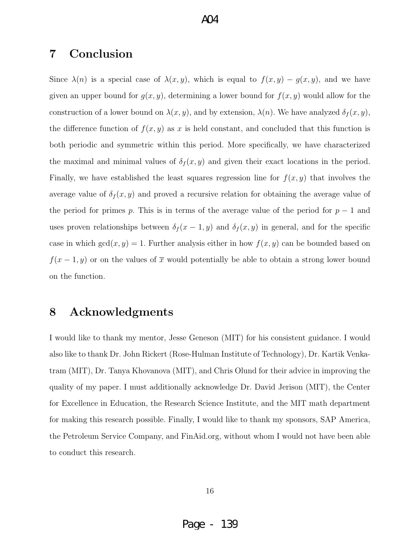#### $AA$

## 7 Conclusion

Since  $\lambda(n)$  is a special case of  $\lambda(x, y)$ , which is equal to  $f(x, y) - g(x, y)$ , and we have given an upper bound for  $g(x, y)$ , determining a lower bound for  $f(x, y)$  would allow for the construction of a lower bound on  $\lambda(x, y)$ , and by extension,  $\lambda(n)$ . We have analyzed  $\delta_f(x, y)$ , the difference function of  $f(x, y)$  as x is held constant, and concluded that this function is both periodic and symmetric within this period. More specifically, we have characterized the maximal and minimal values of  $\delta_f(x, y)$  and given their exact locations in the period. Finally, we have established the least squares regression line for  $f(x, y)$  that involves the average value of  $\delta_f(x, y)$  and proved a recursive relation for obtaining the average value of the period for primes p. This is in terms of the average value of the period for  $p-1$  and uses proven relationships between  $\delta_f(x-1, y)$  and  $\delta_f(x, y)$  in general, and for the specific case in which  $gcd(x, y) = 1$ . Further analysis either in how  $f(x, y)$  can be bounded based on  $f(x-1, y)$  or on the values of  $\bar{x}$  would potentially be able to obtain a strong lower bound on the function.

### 8 Acknowledgments

I would like to thank my mentor, Jesse Geneson (MIT) for his consistent guidance. I would also like to thank Dr. John Rickert (Rose-Hulman Institute of Technology), Dr. Kartik Venkatram (MIT), Dr. Tanya Khovanova (MIT), and Chris Olund for their advice in improving the quality of my paper. I must additionally acknowledge Dr. David Jerison (MIT), the Center for Excellence in Education, the Research Science Institute, and the MIT math department for making this research possible. Finally, I would like to thank my sponsors, SAP America, the Petroleum Service Company, and FinAid.org, without whom I would not have been able to conduct this research.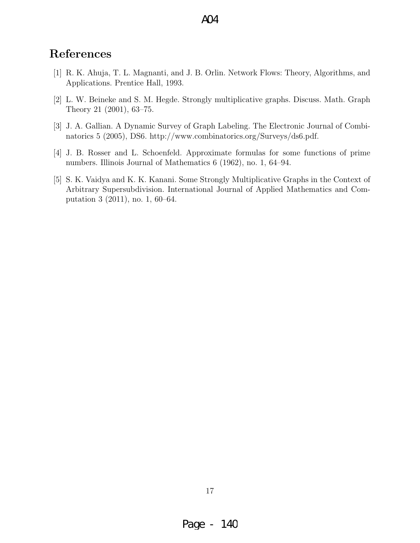## References

- [1] R. K. Ahuja, T. L. Magnanti, and J. B. Orlin. Network Flows: Theory, Algorithms, and Applications. Prentice Hall, 1993.
- [2] L. W. Beineke and S. M. Hegde. Strongly multiplicative graphs. Discuss. Math. Graph Theory 21 (2001), 63–75.
- [3] J. A. Gallian. A Dynamic Survey of Graph Labeling. The Electronic Journal of Combinatorics 5 (2005), DS6. http://www.combinatorics.org/Surveys/ds6.pdf.
- [4] J. B. Rosser and L. Schoenfeld. Approximate formulas for some functions of prime numbers. Illinois Journal of Mathematics 6 (1962), no. 1, 64–94.
- [5] S. K. Vaidya and K. K. Kanani. Some Strongly Multiplicative Graphs in the Context of Arbitrary Supersubdivision. International Journal of Applied Mathematics and Computation 3 (2011), no. 1, 60–64.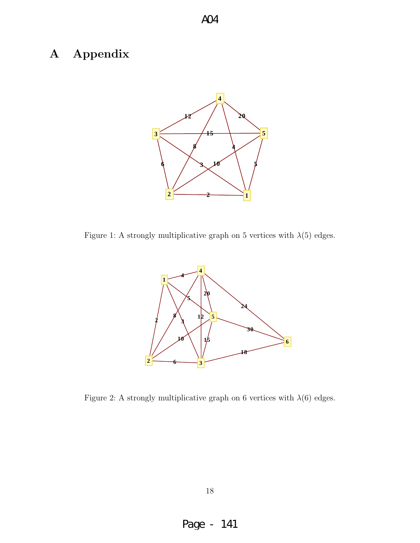# A Appendix



A04

Figure 1: A strongly multiplicative graph on 5 vertices with  $\lambda(5)$  edges.



Figure 2: A strongly multiplicative graph on 6 vertices with  $\lambda(6)$  edges.